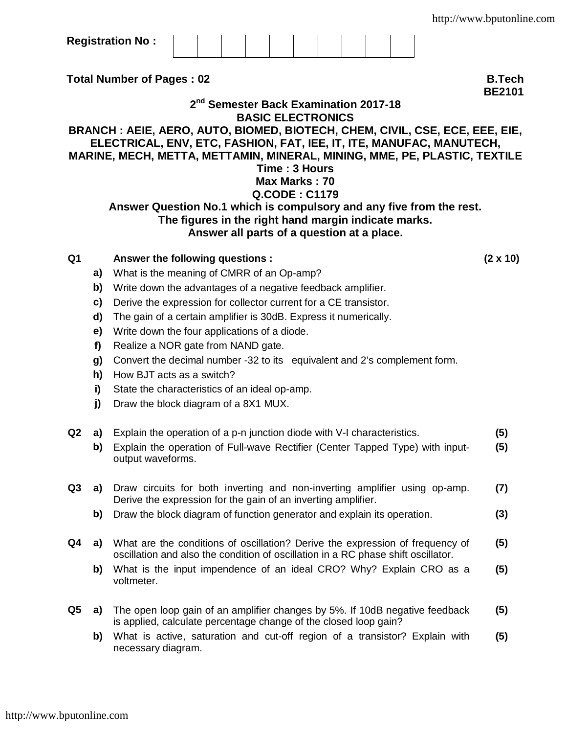**Registration No :**

**Total Number of Pages : 02 B.Tech**

**2 nd Semester Back Examination 2017-18 BASIC ELECTRONICS BRANCH : AEIE, AERO, AUTO, BIOMED, BIOTECH, CHEM, CIVIL, CSE, ECE, EEE, EIE, ELECTRICAL, ENV, ETC, FASHION, FAT, IEE, IT, ITE, MANUFAC, MANUTECH, MARINE, MECH, METTA, METTAMIN, MINERAL, MINING, MME, PE, PLASTIC, TEXTILE Time : 3 Hours Max Marks : 70 Q.CODE : C1179 Answer Question No.1 which is compulsory and any five from the rest. The figures in the right hand margin indicate marks. Answer all parts of a question at a place.**

- **Q1 Answer the following questions : (2 x 10)**
	- **a)** What is the meaning of CMRR of an Op-amp?
	- **b)** Write down the advantages of a negative feedback amplifier.
	- **c)** Derive the expression for collector current for a CE transistor.
	- **d)** The gain of a certain amplifier is 30dB. Express it numerically.
	- **e)** Write down the four applications of a diode.
	- **f)** Realize a NOR gate from NAND gate.
	- **g)** Convert the decimal number -32 to its equivalent and 2's complement form.
	- **h)** How BJT acts as a switch?
	- **i)** State the characteristics of an ideal op-amp.
	- **j)** Draw the block diagram of a 8X1 MUX.
- **Q2 a)** Explain the operation of a p-n junction diode with V-I characteristics. **(5)**
	- **b)** Explain the operation of Full-wave Rectifier (Center Tapped Type) with inputoutput waveforms. **(5)**
- **Q3 a)** Draw circuits for both inverting and non-inverting amplifier using op-amp. Derive the expression for the gain of an inverting amplifier. **(7)**
	- **b)** Draw the block diagram of function generator and explain its operation. **(3)**
- **Q4 a)** What are the conditions of oscillation? Derive the expression of frequency of oscillation and also the condition of oscillation in a RC phase shift oscillator. **(5)**
	- **b)** What is the input impendence of an ideal CRO? Why? Explain CRO as a voltmeter. **(5)**
- **Q5 a)** The open loop gain of an amplifier changes by 5%. If 10dB negative feedback is applied, calculate percentage change of the closed loop gain? **(5)**
	- **b)** What is active, saturation and cut-off region of a transistor? Explain with necessary diagram. **(5)**

<http://www.bputonline.com>

**BE2101**